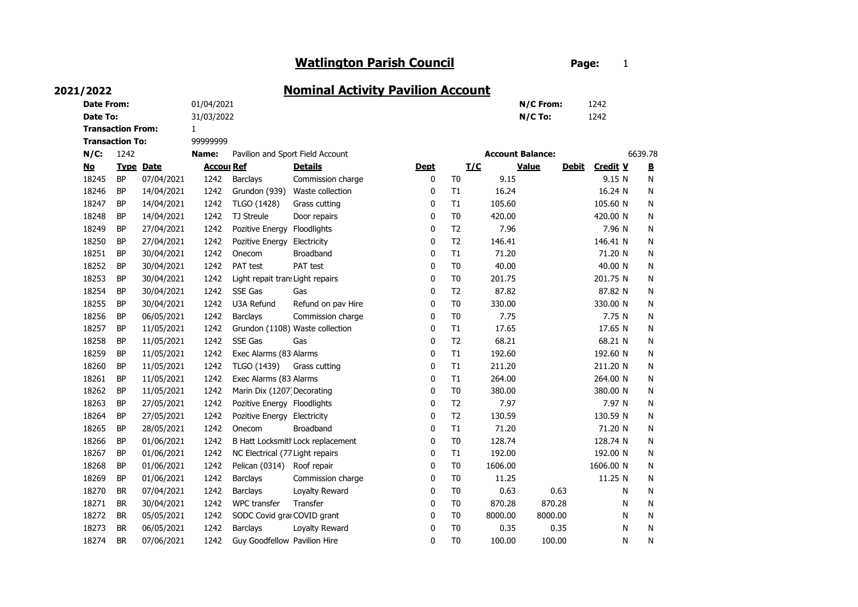## Watlington Parish Council **Example 20 Page:** 1

## **N/C:** 1242 No Type Date account Ref Account Details and Dept T/C Value Debit Credit V B 18245 BP 07/04/2021 1242 Barclays Commission charge 10 T0 9.15 9.15 9.15 N N 18246 BP 14/04/2021 1242 Grundon (939) Waste collection 10 T1 16.24 16.24 16.24 N N 18247 BP 14/04/2021 1242 TLGO (1428) Grass cutting  $105.60$  T1 105.60 105.60 N N 18248 BP 14/04/2021 1242 TJ Streule Door repairs 0 10 10 420.00 10 420.00 420.00 N 18249 BP 27/04/2021 1242 Pozitive Energy Floodlights 18249 12 12 12 7.96 7.96 7.96 N N 18250 BP 27/04/2021 1242 Pozitive Energy Electricity 0 T2 146.41 146.41 146.41 N N 18251 BP 30/04/2021 1242 Onecom Broadband 1988 10 T1 71.20 11 71.20 71.20 N 18252 BP 30/04/2021 1242 PAT test PAT test 0 10 T0 40.00 40.00 40.00 N N 18253 BP 30/04/2021 1242 Light repait transLight repairs 0 T0 201.75 201.75 N N 18254 BP 1242 0 T2 N N 18255 BP 30/04/2021 1242 U3A Refund Refund on pav Hire 60 T0 330.00 630.00 N N 18256 BP 06/05/2021 1242 Barclays Commission charge 0 10 70 7.75 1 7.75 N N 18257 BP 11/05/2021 1242 Grundon (1108) Waste collection 10 11 17.65 17.65 17.65 N N 18258 BP 11/05/2021 1242 SSE Gas Gas San Annual Company of the G8.21 C68.21 N N 18259 BP 11/05/2021 1242 Exec Alarms (83 Alarms 1920 10 T1 192.60 192.60 192.60 N N 18260 BP 11/05/2021 1242 TLGO (1439) Grass cutting  $18260$  T1 211.20 211.20 N N 18261 BP 11/05/2021 1242 Exec Alarms (83 Alarms 20 1 1 264.00 1 1 264.00 1 1 264.00 N N 18262 BP 11/05/2021 1242 Marin Dix (1207) Decorating 380 00 T0 380.00 380.00 380.00 N N 18263 BP 27/05/2021 1242 Pozitive Energy Floodlights 0 T2 7.97 7.97 7.97 N N 18264 BP 27/05/2021 1242 Pozitive Energy Electricity 130 10 T2 130.59 130.59 130.59 N N 18265 BP 28/05/2021 1242 Onecom Broadband 1988 10 11 11.20 11 11.20 71.20 N 18266 BP 01/06/2021 1242 B Hatt Locksmith Lock replacement 10 T0 128.74 128.74 128.74 N N 18267 BP 01/06/2021 1242 NC Electrical (77 Light repairs 190 0 11 192.00 192.00 N N 18268 BP 01/06/2021 1242 Pelican (0314) Roof repair 160 0 10 1606.00 1606.00 1606.00 N N 18269 BP 01/06/2021 1242 Barclays Commission charge 0 10 11.25 11.25 11.25 N N 18270 BR 07/04/2021 1242 Barclays Loyalty Reward 0 0 T0 0.63 0.63 N N N 18271 BR 30/04/2021 1242 WPC transfer Transfer **120 10 10 10 10 10 10 10** 170.28 170.28 N N N 18272 BR 05/05/2021 1242 SODC Covid grar COVID grant 60 0 10 8000.00 8000.00 N N N 18273 BR 06/05/2021 1242 Barclays Loyalty Reward 0 0 T0 0.35 0.35 N N N 18274 BR 07/06/2021 1242 Guy Goodfellow Pavilion Hire 10 0 T0 100.00 100.00 N N N 06/05/2021 1242 Barclays Lovalty Reward 0 T0 0.35 0.35 0.35 30/04/2021 1242 WPC transfer Transfer **1.123 and 1.23 and 1.33 and 1.33 and 1.33 and 1.33 and 1.33 and 1.33 and 1** 11.25 N 07/04/2021 1242 Barclays Loyalty Reward 0.63 0.63 0.63 0.63 01/06/2021 1242 Barclays Commission charge 0 T0 11.25 192.00 71.20 28/05/2021 1242 Onecom Broadband 1988 10 11 71.20 7.97 264.00 N 192.60 N 11/05/2021 1242 TLGO (1439) Grass cutting 20 11 211.20 211.20 211.20 17.65 N 11/05/2021 1242 SSE Gas Gas Gas 68.21 68.21 68.21 330.00 N 06/05/2021 1242 Barclays Commission charge 0 T0 7.75 7.75 7.75 7.75 7 30/04/2021 1242 U3A Refund Refund on pav Hire 0 T0 330.00 201.75 N 30/04/2021 SSE Gas Gas 87.82 87.82 71.20 N 30/04/2021 1242 PAT test PAT test  $\overline{a}$  and  $\overline{a}$  and  $\overline{a}$  and  $\overline{a}$  and  $\overline{a}$  and  $\overline{a}$  and  $\overline{a}$  and  $\overline{a}$  and  $\overline{a}$  and  $\overline{a}$  and  $\overline{a}$  and  $\overline{a}$  and  $\overline{a}$  and  $\overline{a}$  and  $\overline{a$ 30/04/2021 1242 Onecom Broadband 11 0 T1 71.20 7.96 27/04/2021 1242 Pozitive Energy Electricity 16.41 0 T2 146.41 146.41 146.41 146.41 N 105.60 14/04/2021 1242 TJ Streule Door repairs 6 0 T0 420.00 420.00 420.00 14/04/2021 1242 TLGO (1428) Grass cutting 105.60 11 105.60 9.15 N Account Balance: 6639.78 Details T/C Value Debit Transaction From: 1 Transaction To: 99999999 Name: Pavilion and Sport Field Account 1242 **Date To:**  31/03/2022 31/03/2022 31/03/2022 31/03/2022 31/03/2022 31/03/2022 31/03/2022 2021/2022 Nominal Activity Pavilion Account Date From: 01/04/2021 N/C From: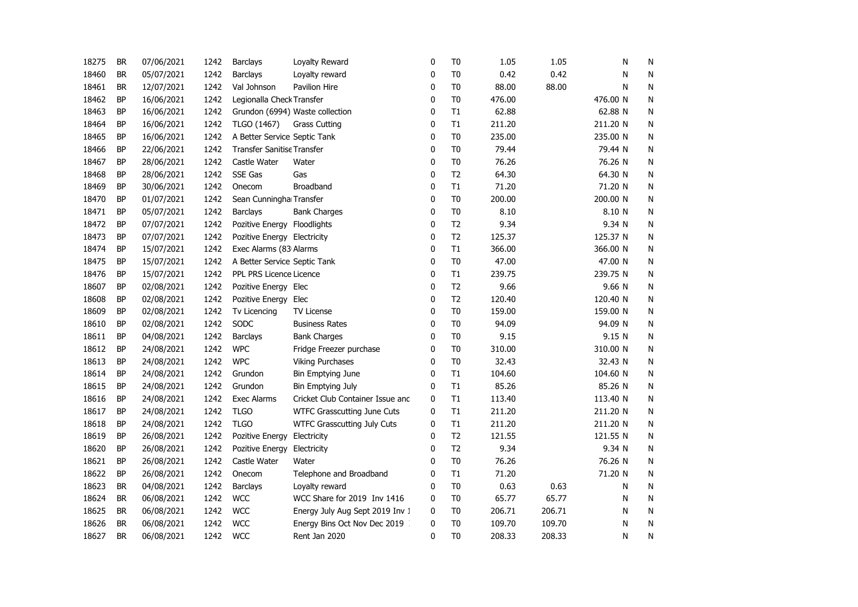| 18275 | <b>BR</b> | 07/06/2021 | 1242 | Barclays                          | Loyalty Reward                   | 0 | T <sub>0</sub> | 1.05   | 1.05   | Ν        | N            |
|-------|-----------|------------|------|-----------------------------------|----------------------------------|---|----------------|--------|--------|----------|--------------|
| 18460 | <b>BR</b> | 05/07/2021 | 1242 | Barclays                          | Loyalty reward                   | 0 | T <sub>0</sub> | 0.42   | 0.42   | N        | N            |
| 18461 | <b>BR</b> | 12/07/2021 | 1242 | Val Johnson                       | Pavilion Hire                    | 0 | T <sub>0</sub> | 88.00  | 88.00  | N        | N            |
| 18462 | <b>BP</b> | 16/06/2021 | 1242 | Legionalla Check Transfer         |                                  | 0 | T <sub>0</sub> | 476.00 |        | 476.00 N | N            |
| 18463 | ΒP        | 16/06/2021 | 1242 |                                   | Grundon (6994) Waste collection  | 0 | T1             | 62.88  |        | 62.88 N  | ${\sf N}$    |
| 18464 | <b>BP</b> | 16/06/2021 | 1242 | TLGO (1467)                       | <b>Grass Cutting</b>             | 0 | T1             | 211.20 |        | 211.20 N | ${\sf N}$    |
| 18465 | <b>BP</b> | 16/06/2021 | 1242 | A Better Service Septic Tank      |                                  | 0 | T <sub>0</sub> | 235.00 |        | 235.00 N | N            |
| 18466 | <b>BP</b> | 22/06/2021 | 1242 | <b>Transfer Sanitise Transfer</b> |                                  | 0 | T <sub>0</sub> | 79.44  |        | 79.44 N  | N            |
| 18467 | <b>BP</b> | 28/06/2021 | 1242 | Castle Water                      | Water                            | 0 | T <sub>0</sub> | 76.26  |        | 76.26 N  | N            |
| 18468 | <b>BP</b> | 28/06/2021 | 1242 | SSE Gas                           | Gas                              | 0 | T <sub>2</sub> | 64.30  |        | 64.30 N  | N            |
| 18469 | <b>BP</b> | 30/06/2021 | 1242 | Onecom                            | Broadband                        | 0 | T1             | 71.20  |        | 71.20 N  | N            |
| 18470 | <b>BP</b> | 01/07/2021 | 1242 | Sean Cunningha Transfer           |                                  | 0 | T <sub>0</sub> | 200.00 |        | 200.00 N | N            |
| 18471 | <b>BP</b> | 05/07/2021 | 1242 | <b>Barclays</b>                   | <b>Bank Charges</b>              | 0 | T <sub>0</sub> | 8.10   |        | 8.10 N   | N            |
| 18472 | <b>BP</b> | 07/07/2021 | 1242 | Pozitive Energy Floodlights       |                                  | 0 | T <sub>2</sub> | 9.34   |        | 9.34 N   | N            |
| 18473 | <b>BP</b> | 07/07/2021 | 1242 | Pozitive Energy Electricity       |                                  | 0 | T <sub>2</sub> | 125.37 |        | 125.37 N | ${\sf N}$    |
| 18474 | <b>BP</b> | 15/07/2021 | 1242 | Exec Alarms (83 Alarms            |                                  | 0 | T1             | 366.00 |        | 366.00 N | $\mathsf{N}$ |
| 18475 | <b>BP</b> | 15/07/2021 | 1242 | A Better Service Septic Tank      |                                  | 0 | T <sub>0</sub> | 47.00  |        | 47.00 N  | $\mathsf{N}$ |
| 18476 | <b>BP</b> | 15/07/2021 | 1242 | PPL PRS Licence Licence           |                                  | 0 | T1             | 239.75 |        | 239.75 N | N            |
| 18607 | <b>BP</b> | 02/08/2021 | 1242 | Pozitive Energy Elec              |                                  | 0 | T <sub>2</sub> | 9.66   |        | 9.66 N   | N            |
| 18608 | <b>BP</b> | 02/08/2021 | 1242 | Pozitive Energy Elec              |                                  | 0 | T <sub>2</sub> | 120.40 |        | 120.40 N | N            |
| 18609 | BP        | 02/08/2021 | 1242 | Tv Licencing                      | <b>TV License</b>                | 0 | T <sub>0</sub> | 159.00 |        | 159.00 N | N            |
| 18610 | <b>BP</b> | 02/08/2021 | 1242 | SODC                              | <b>Business Rates</b>            | 0 | T <sub>0</sub> | 94.09  |        | 94.09 N  | N            |
| 18611 | <b>BP</b> | 04/08/2021 | 1242 | Barclays                          | <b>Bank Charges</b>              | 0 | T <sub>0</sub> | 9.15   |        | 9.15 N   | N            |
| 18612 | <b>BP</b> | 24/08/2021 | 1242 | <b>WPC</b>                        | Fridge Freezer purchase          | 0 | T <sub>0</sub> | 310.00 |        | 310.00 N | N            |
| 18613 | <b>BP</b> | 24/08/2021 | 1242 | <b>WPC</b>                        | <b>Viking Purchases</b>          | 0 | T <sub>0</sub> | 32.43  |        | 32.43 N  | N            |
| 18614 | <b>BP</b> | 24/08/2021 | 1242 | Grundon                           | <b>Bin Emptying June</b>         | 0 | T1             | 104.60 |        | 104.60 N | $\mathsf{N}$ |
| 18615 | <b>BP</b> | 24/08/2021 | 1242 | Grundon                           | Bin Emptying July                | 0 | T1             | 85.26  |        | 85.26 N  | N            |
| 18616 | <b>BP</b> | 24/08/2021 | 1242 | Exec Alarms                       | Cricket Club Container Issue and | 0 | T1             | 113.40 |        | 113.40 N | N            |
| 18617 | <b>BP</b> | 24/08/2021 | 1242 | <b>TLGO</b>                       | WTFC Grasscutting June Cuts      | 0 | T1             | 211.20 |        | 211.20 N | $\mathsf{N}$ |
| 18618 | <b>BP</b> | 24/08/2021 | 1242 | <b>TLGO</b>                       | WTFC Grasscutting July Cuts      | 0 | T1             | 211.20 |        | 211.20 N | N            |
| 18619 | BP        | 26/08/2021 | 1242 | Pozitive Energy                   | Electricity                      | 0 | T <sub>2</sub> | 121.55 |        | 121.55 N | N            |
| 18620 | <b>BP</b> | 26/08/2021 | 1242 | Pozitive Energy                   | Electricity                      | 0 | T <sub>2</sub> | 9.34   |        | 9.34 N   | N            |
| 18621 | <b>BP</b> | 26/08/2021 | 1242 | Castle Water                      | Water                            | 0 | T <sub>0</sub> | 76.26  |        | 76.26 N  | N            |
| 18622 | ΒP        | 26/08/2021 | 1242 | Onecom                            | Telephone and Broadband          | 0 | T1             | 71.20  |        | 71.20 N  | N            |
| 18623 | <b>BR</b> | 04/08/2021 | 1242 | <b>Barclays</b>                   | Loyalty reward                   | 0 | T <sub>0</sub> | 0.63   | 0.63   | N        | N            |
| 18624 | <b>BR</b> | 06/08/2021 | 1242 | <b>WCC</b>                        | WCC Share for 2019 Inv 1416      | 0 | T <sub>0</sub> | 65.77  | 65.77  | Ν        | N            |
| 18625 | <b>BR</b> | 06/08/2021 | 1242 | <b>WCC</b>                        | Energy July Aug Sept 2019 Inv 1  | 0 | T <sub>0</sub> | 206.71 | 206.71 | Ν        | N            |
| 18626 | <b>BR</b> | 06/08/2021 | 1242 | <b>WCC</b>                        | Energy Bins Oct Nov Dec 2019     | 0 | T <sub>0</sub> | 109.70 | 109.70 | Ν        | N            |
| 18627 | <b>BR</b> | 06/08/2021 | 1242 | <b>WCC</b>                        | Rent Jan 2020                    | 0 | T <sub>0</sub> | 208.33 | 208.33 | N        | N            |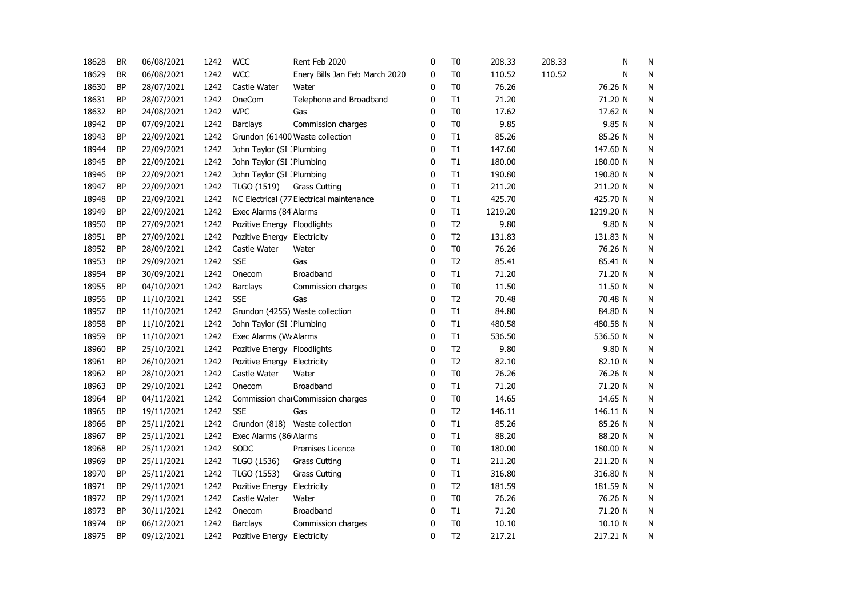| 18628 | <b>BR</b> | 06/08/2021 | 1242 | <b>WCC</b>                  | Rent Feb 2020                            | 0 | T0             | 208.33  | 208.33 | Ν         | N |
|-------|-----------|------------|------|-----------------------------|------------------------------------------|---|----------------|---------|--------|-----------|---|
| 18629 | <b>BR</b> | 06/08/2021 | 1242 | <b>WCC</b>                  | Enery Bills Jan Feb March 2020           | 0 | T <sub>0</sub> | 110.52  | 110.52 | N         | N |
| 18630 | <b>BP</b> | 28/07/2021 | 1242 | Castle Water                | Water                                    | 0 | T <sub>0</sub> | 76.26   |        | 76.26 N   | N |
| 18631 | ΒP        | 28/07/2021 | 1242 | OneCom                      | Telephone and Broadband                  | 0 | T1             | 71.20   |        | 71.20 N   | N |
| 18632 | <b>BP</b> | 24/08/2021 | 1242 | <b>WPC</b>                  | Gas                                      | 0 | T <sub>0</sub> | 17.62   |        | 17.62 N   | N |
| 18942 | <b>BP</b> | 07/09/2021 | 1242 | <b>Barclays</b>             | Commission charges                       | 0 | T <sub>0</sub> | 9.85    |        | 9.85 N    | N |
| 18943 | <b>BP</b> | 22/09/2021 | 1242 |                             | Grundon (61400 Waste collection          | 0 | T1             | 85.26   |        | 85.26 N   | N |
| 18944 | BP        | 22/09/2021 | 1242 | John Taylor (SI : Plumbing  |                                          | 0 | T1             | 147.60  |        | 147.60 N  | N |
| 18945 | BP        | 22/09/2021 | 1242 | John Taylor (SI : Plumbing  |                                          | 0 | T1             | 180.00  |        | 180.00 N  | N |
| 18946 | BP        | 22/09/2021 | 1242 | John Taylor (SI : Plumbing  |                                          | 0 | T1             | 190.80  |        | 190.80 N  | N |
| 18947 | BP        | 22/09/2021 | 1242 | TLGO (1519)                 | <b>Grass Cutting</b>                     | 0 | T1             | 211.20  |        | 211.20 N  | N |
| 18948 | BP        | 22/09/2021 | 1242 |                             | NC Electrical (77 Electrical maintenance | 0 | T1             | 425.70  |        | 425.70 N  | N |
| 18949 | <b>BP</b> | 22/09/2021 | 1242 | Exec Alarms (84 Alarms      |                                          | 0 | T1             | 1219.20 |        | 1219.20 N | N |
| 18950 | <b>BP</b> | 27/09/2021 | 1242 | Pozitive Energy Floodlights |                                          | 0 | T <sub>2</sub> | 9.80    |        | 9.80 N    | N |
| 18951 | <b>BP</b> | 27/09/2021 | 1242 | Pozitive Energy Electricity |                                          | 0 | T <sub>2</sub> | 131.83  |        | 131.83 N  | N |
| 18952 | <b>BP</b> | 28/09/2021 | 1242 | Castle Water                | Water                                    | 0 | T <sub>0</sub> | 76.26   |        | 76.26 N   | N |
| 18953 | <b>BP</b> | 29/09/2021 | 1242 | <b>SSE</b>                  | Gas                                      | 0 | T <sub>2</sub> | 85.41   |        | 85.41 N   | N |
| 18954 | BP        | 30/09/2021 | 1242 | Onecom                      | Broadband                                | 0 | T1             | 71.20   |        | 71.20 N   | N |
| 18955 | BP        | 04/10/2021 | 1242 | Barclays                    | Commission charges                       | 0 | T <sub>0</sub> | 11.50   |        | 11.50 N   | N |
| 18956 | BP        | 11/10/2021 | 1242 | <b>SSE</b>                  | Gas                                      | 0 | T <sub>2</sub> | 70.48   |        | 70.48 N   | N |
| 18957 | BP        | 11/10/2021 | 1242 |                             | Grundon (4255) Waste collection          | 0 | T1             | 84.80   |        | 84.80 N   | N |
| 18958 | BP        | 11/10/2021 | 1242 | John Taylor (SI : Plumbing  |                                          | 0 | T1             | 480.58  |        | 480.58 N  | N |
| 18959 | <b>BP</b> | 11/10/2021 | 1242 | Exec Alarms (WaAlarms       |                                          | 0 | T1             | 536.50  |        | 536.50 N  | N |
| 18960 | <b>BP</b> | 25/10/2021 | 1242 | Pozitive Energy Floodlights |                                          | 0 | T2             | 9.80    |        | 9.80 N    | N |
| 18961 | <b>BP</b> | 26/10/2021 | 1242 | Pozitive Energy Electricity |                                          | 0 | T <sub>2</sub> | 82.10   |        | 82.10 N   | N |
| 18962 | <b>BP</b> | 28/10/2021 | 1242 | Castle Water                | Water                                    | 0 | T <sub>0</sub> | 76.26   |        | 76.26 N   | N |
| 18963 | <b>BP</b> | 29/10/2021 | 1242 | Onecom                      | Broadband                                | 0 | T1             | 71.20   |        | 71.20 N   | N |
| 18964 | <b>BP</b> | 04/11/2021 | 1242 |                             | Commission charCommission charges        | 0 | T <sub>0</sub> | 14.65   |        | 14.65 N   | N |
| 18965 | BP        | 19/11/2021 | 1242 | <b>SSE</b>                  | Gas                                      | 0 | T <sub>2</sub> | 146.11  |        | 146.11 N  | N |
| 18966 | BP        | 25/11/2021 | 1242 |                             | Grundon (818) Waste collection           | 0 | T1             | 85.26   |        | 85.26 N   | N |
| 18967 | ΒP        | 25/11/2021 | 1242 | Exec Alarms (86 Alarms      |                                          | 0 | T1             | 88.20   |        | 88.20 N   | N |
| 18968 | <b>BP</b> | 25/11/2021 | 1242 | SODC                        | Premises Licence                         | 0 | T <sub>0</sub> | 180.00  |        | 180.00 N  | N |
| 18969 | ΒP        | 25/11/2021 | 1242 | TLGO (1536)                 | <b>Grass Cutting</b>                     | 0 | T1             | 211.20  |        | 211.20 N  | Ν |
| 18970 | <b>BP</b> | 25/11/2021 | 1242 | TLGO (1553)                 | <b>Grass Cutting</b>                     | 0 | T1             | 316.80  |        | 316.80 N  | N |
| 18971 | BP        | 29/11/2021 | 1242 | Pozitive Energy             | Electricity                              | 0 | T <sub>2</sub> | 181.59  |        | 181.59 N  | N |
| 18972 | BP        | 29/11/2021 | 1242 | Castle Water                | Water                                    | 0 | T <sub>0</sub> | 76.26   |        | 76.26 N   | N |
| 18973 | <b>BP</b> | 30/11/2021 | 1242 | Onecom                      | Broadband                                | 0 | T1             | 71.20   |        | 71.20 N   | N |
| 18974 | <b>BP</b> | 06/12/2021 | 1242 | Barclays                    | Commission charges                       | 0 | T <sub>0</sub> | 10.10   |        | 10.10 N   | N |
| 18975 | <b>BP</b> | 09/12/2021 | 1242 | Pozitive Energy Electricity |                                          | 0 | T <sub>2</sub> | 217.21  |        | 217.21 N  | N |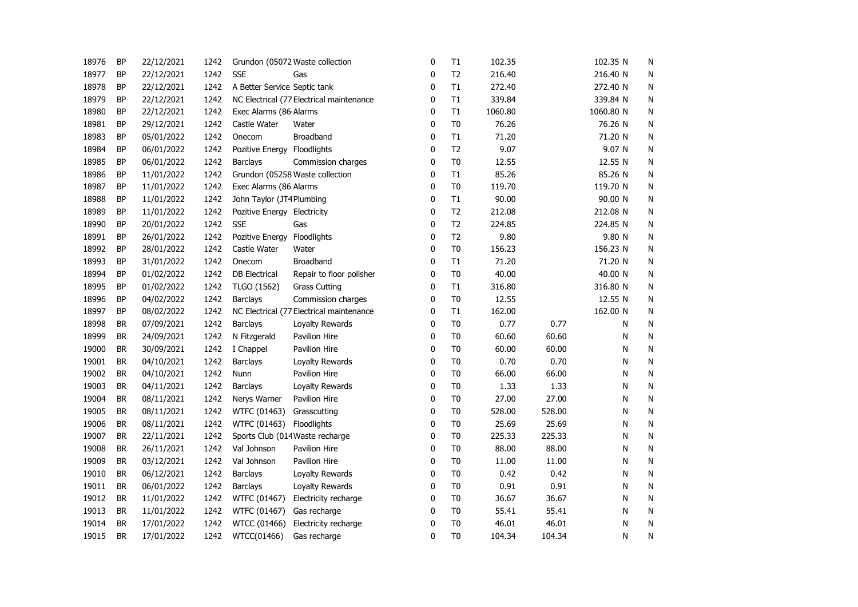| 18976 | ΒP        | 22/12/2021 | 1242 |                                          | Grundon (05072 Waste collection          | 0            | T1             | 102.35  |        | 102.35 N  | N         |
|-------|-----------|------------|------|------------------------------------------|------------------------------------------|--------------|----------------|---------|--------|-----------|-----------|
| 18977 | <b>BP</b> | 22/12/2021 | 1242 | <b>SSE</b>                               | Gas                                      | 0            | T <sub>2</sub> | 216.40  |        | 216.40 N  | N         |
| 18978 | BP        | 22/12/2021 | 1242 | A Better Service Septic tank             |                                          | 0            | T1             | 272.40  |        | 272.40 N  | N         |
| 18979 | ΒP        | 22/12/2021 | 1242 | NC Electrical (77 Electrical maintenance |                                          | 0            | T1             | 339.84  |        | 339.84 N  | N         |
| 18980 | BP        | 22/12/2021 | 1242 | Exec Alarms (86 Alarms                   |                                          | $\mathbf{0}$ | $\mathsf{T}1$  | 1060.80 |        | 1060.80 N | N         |
| 18981 | <b>BP</b> | 29/12/2021 | 1242 | Castle Water                             | Water                                    | $\mathbf 0$  | T <sub>0</sub> | 76.26   |        | 76.26 N   | N         |
| 18983 | BP        | 05/01/2022 | 1242 | Onecom                                   | <b>Broadband</b>                         | 0            | T1             | 71.20   |        | 71.20 N   | N         |
| 18984 | ΒP        | 06/01/2022 | 1242 | Pozitive Energy Floodlights              |                                          | 0            | T <sub>2</sub> | 9.07    |        | 9.07 N    | N         |
| 18985 | BP        | 06/01/2022 | 1242 | <b>Barclays</b>                          | Commission charges                       | 0            | T <sub>0</sub> | 12.55   |        | 12.55 N   | N         |
| 18986 | <b>BP</b> | 11/01/2022 | 1242 |                                          | Grundon (05258 Waste collection          | 0            | T1             | 85.26   |        | 85.26 N   | N         |
| 18987 | BP        | 11/01/2022 | 1242 | Exec Alarms (86 Alarms                   |                                          | 0            | T <sub>0</sub> | 119.70  |        | 119.70 N  | N         |
| 18988 | BP        | 11/01/2022 | 1242 | John Taylor (JT4Plumbing                 |                                          | $\pmb{0}$    | T1             | 90.00   |        | 90.00 N   | N         |
| 18989 | <b>BP</b> | 11/01/2022 | 1242 | Pozitive Energy Electricity              |                                          | 0            | T <sub>2</sub> | 212.08  |        | 212.08 N  | N         |
| 18990 | ΒP        | 20/01/2022 | 1242 | <b>SSE</b>                               | Gas                                      | $\pmb{0}$    | T2             | 224.85  |        | 224.85 N  | N         |
| 18991 | <b>BP</b> | 26/01/2022 | 1242 | Pozitive Energy                          | Floodlights                              | $\mathbf 0$  | T <sub>2</sub> | 9.80    |        | 9.80 N    | N         |
| 18992 | <b>BP</b> | 28/01/2022 | 1242 | Castle Water                             | Water                                    | $\mathbf 0$  | T <sub>0</sub> | 156.23  |        | 156.23 N  | N         |
| 18993 | <b>BP</b> | 31/01/2022 | 1242 | Onecom                                   | Broadband                                | 0            | T1             | 71.20   |        | 71.20 N   | N         |
| 18994 | BP        | 01/02/2022 | 1242 | <b>DB</b> Electrical                     | Repair to floor polisher                 | 0            | T <sub>0</sub> | 40.00   |        | 40.00 N   | Ν         |
| 18995 | BP        | 01/02/2022 | 1242 | TLGO (1562)                              | <b>Grass Cutting</b>                     | 0            | T1             | 316.80  |        | 316.80 N  | N         |
| 18996 | BP        | 04/02/2022 | 1242 | <b>Barclays</b>                          | Commission charges                       | 0            | T <sub>0</sub> | 12.55   |        | 12.55 N   | N         |
| 18997 | BP        | 08/02/2022 | 1242 |                                          | NC Electrical (77 Electrical maintenance | 0            | T1             | 162.00  |        | 162.00 N  | N         |
| 18998 | <b>BR</b> | 07/09/2021 | 1242 | Barclays                                 | Loyalty Rewards                          | 0            | T <sub>0</sub> | 0.77    | 0.77   | N         | N         |
| 18999 | <b>BR</b> | 24/09/2021 | 1242 | N Fitzgerald                             | Pavilion Hire                            | 0            | T <sub>0</sub> | 60.60   | 60.60  | N         | N         |
| 19000 | <b>BR</b> | 30/09/2021 | 1242 | I Chappel                                | Pavilion Hire                            | 0            | T <sub>0</sub> | 60.00   | 60.00  | N         | ${\sf N}$ |
| 19001 | <b>BR</b> | 04/10/2021 | 1242 | Barclays                                 | Loyalty Rewards                          | 0            | T <sub>0</sub> | 0.70    | 0.70   | Ν         | ${\sf N}$ |
| 19002 | <b>BR</b> | 04/10/2021 | 1242 | Nunn                                     | Pavilion Hire                            | 0            | T <sub>0</sub> | 66.00   | 66.00  | Ν         | N         |
| 19003 | <b>BR</b> | 04/11/2021 | 1242 | <b>Barclays</b>                          | Loyalty Rewards                          | 0            | T <sub>0</sub> | 1.33    | 1.33   | Ν         | N         |
| 19004 | <b>BR</b> | 08/11/2021 | 1242 | Nerys Warner                             | Pavilion Hire                            | 0            | T <sub>0</sub> | 27.00   | 27.00  | Ν         | N         |
| 19005 | <b>BR</b> | 08/11/2021 | 1242 | WTFC (01463)                             | Grasscutting                             | 0            | T <sub>0</sub> | 528.00  | 528.00 | Ν         | N         |
| 19006 | <b>BR</b> | 08/11/2021 | 1242 | WTFC (01463)                             | Floodlights                              | 0            | T <sub>0</sub> | 25.69   | 25.69  | Ν         | Ν         |
| 19007 | BR        | 22/11/2021 | 1242 |                                          | Sports Club (014Waste recharge           | 0            | T <sub>0</sub> | 225.33  | 225.33 | Ν         | Ν         |
| 19008 | BR        | 26/11/2021 | 1242 | Val Johnson                              | Pavilion Hire                            | 0            | T <sub>0</sub> | 88.00   | 88.00  | Ν         | Ν         |
| 19009 | BR        | 03/12/2021 | 1242 | Val Johnson                              | Pavilion Hire                            | 0            | T <sub>0</sub> | 11.00   | 11.00  | Ν         | N         |
| 19010 | <b>BR</b> | 06/12/2021 | 1242 | <b>Barclays</b>                          | Loyalty Rewards                          | 0            | T <sub>0</sub> | 0.42    | 0.42   | Ν         | N         |
| 19011 | <b>BR</b> | 06/01/2022 | 1242 | <b>Barclays</b>                          | Loyalty Rewards                          | 0            | T <sub>0</sub> | 0.91    | 0.91   | Ν         | N         |
| 19012 | <b>BR</b> | 11/01/2022 | 1242 | WTFC (01467)                             | Electricity recharge                     | 0            | T <sub>0</sub> | 36.67   | 36.67  | Ν         | N         |
| 19013 | <b>BR</b> | 11/01/2022 | 1242 | WTFC (01467)                             | Gas recharge                             | 0            | T <sub>0</sub> | 55.41   | 55.41  | N         | N         |
| 19014 | <b>BR</b> | 17/01/2022 | 1242 | WTCC (01466)                             | Electricity recharge                     | 0            | T <sub>0</sub> | 46.01   | 46.01  | Ν         | N         |
| 19015 | <b>BR</b> | 17/01/2022 | 1242 | WTCC(01466)                              | Gas recharge                             | 0            | T <sub>0</sub> | 104.34  | 104.34 | N         | Ν         |
|       |           |            |      |                                          |                                          |              |                |         |        |           |           |